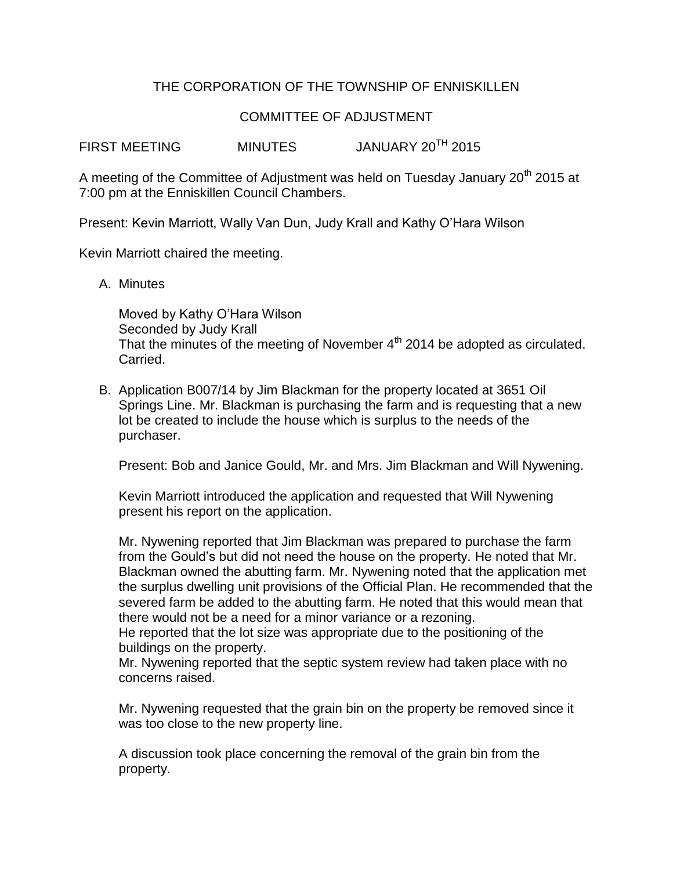## THE CORPORATION OF THE TOWNSHIP OF ENNISKILLEN

### COMMITTEE OF ADJUSTMENT

FIRST MEETING MINUTES JANUARY 20TH 2015

A meeting of the Committee of Adjustment was held on Tuesday January 20<sup>th</sup> 2015 at 7:00 pm at the Enniskillen Council Chambers.

Present: Kevin Marriott, Wally Van Dun, Judy Krall and Kathy O'Hara Wilson

Kevin Marriott chaired the meeting.

A. Minutes

Moved by Kathy O'Hara Wilson Seconded by Judy Krall That the minutes of the meeting of November 4<sup>th</sup> 2014 be adopted as circulated. Carried.

B. Application B007/14 by Jim Blackman for the property located at 3651 Oil Springs Line. Mr. Blackman is purchasing the farm and is requesting that a new lot be created to include the house which is surplus to the needs of the purchaser.

Present: Bob and Janice Gould, Mr. and Mrs. Jim Blackman and Will Nywening.

Kevin Marriott introduced the application and requested that Will Nywening present his report on the application.

Mr. Nywening reported that Jim Blackman was prepared to purchase the farm from the Gould's but did not need the house on the property. He noted that Mr. Blackman owned the abutting farm. Mr. Nywening noted that the application met the surplus dwelling unit provisions of the Official Plan. He recommended that the severed farm be added to the abutting farm. He noted that this would mean that there would not be a need for a minor variance or a rezoning.

He reported that the lot size was appropriate due to the positioning of the buildings on the property.

Mr. Nywening reported that the septic system review had taken place with no concerns raised.

Mr. Nywening requested that the grain bin on the property be removed since it was too close to the new property line.

A discussion took place concerning the removal of the grain bin from the property.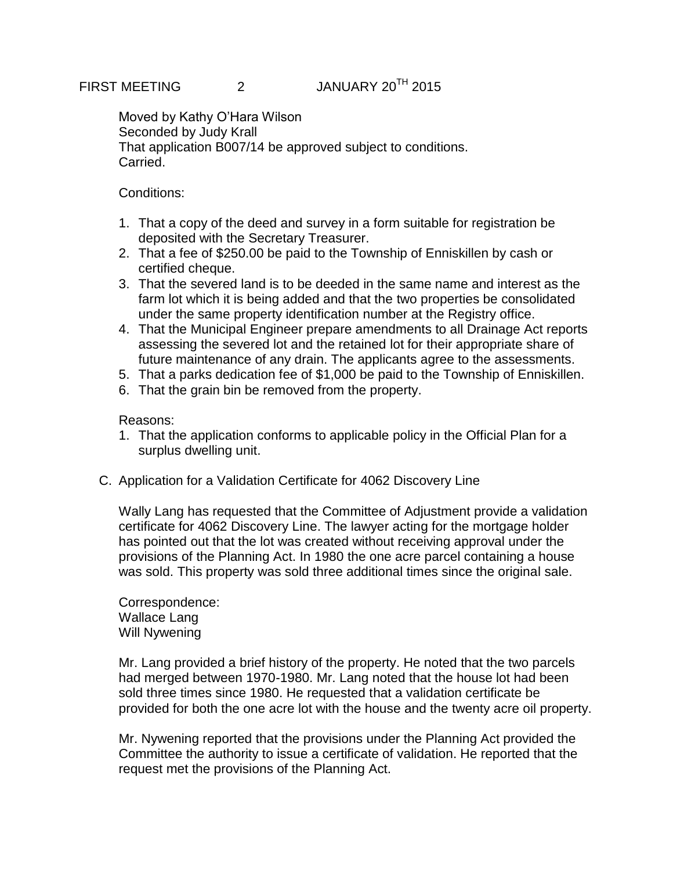Moved by Kathy O'Hara Wilson Seconded by Judy Krall That application B007/14 be approved subject to conditions. Carried.

### Conditions:

- 1. That a copy of the deed and survey in a form suitable for registration be deposited with the Secretary Treasurer.
- 2. That a fee of \$250.00 be paid to the Township of Enniskillen by cash or certified cheque.
- 3. That the severed land is to be deeded in the same name and interest as the farm lot which it is being added and that the two properties be consolidated under the same property identification number at the Registry office.
- 4. That the Municipal Engineer prepare amendments to all Drainage Act reports assessing the severed lot and the retained lot for their appropriate share of future maintenance of any drain. The applicants agree to the assessments.
- 5. That a parks dedication fee of \$1,000 be paid to the Township of Enniskillen.
- 6. That the grain bin be removed from the property.

Reasons:

- 1. That the application conforms to applicable policy in the Official Plan for a surplus dwelling unit.
- C. Application for a Validation Certificate for 4062 Discovery Line

Wally Lang has requested that the Committee of Adjustment provide a validation certificate for 4062 Discovery Line. The lawyer acting for the mortgage holder has pointed out that the lot was created without receiving approval under the provisions of the Planning Act. In 1980 the one acre parcel containing a house was sold. This property was sold three additional times since the original sale.

Correspondence: Wallace Lang Will Nywening

Mr. Lang provided a brief history of the property. He noted that the two parcels had merged between 1970-1980. Mr. Lang noted that the house lot had been sold three times since 1980. He requested that a validation certificate be provided for both the one acre lot with the house and the twenty acre oil property.

Mr. Nywening reported that the provisions under the Planning Act provided the Committee the authority to issue a certificate of validation. He reported that the request met the provisions of the Planning Act.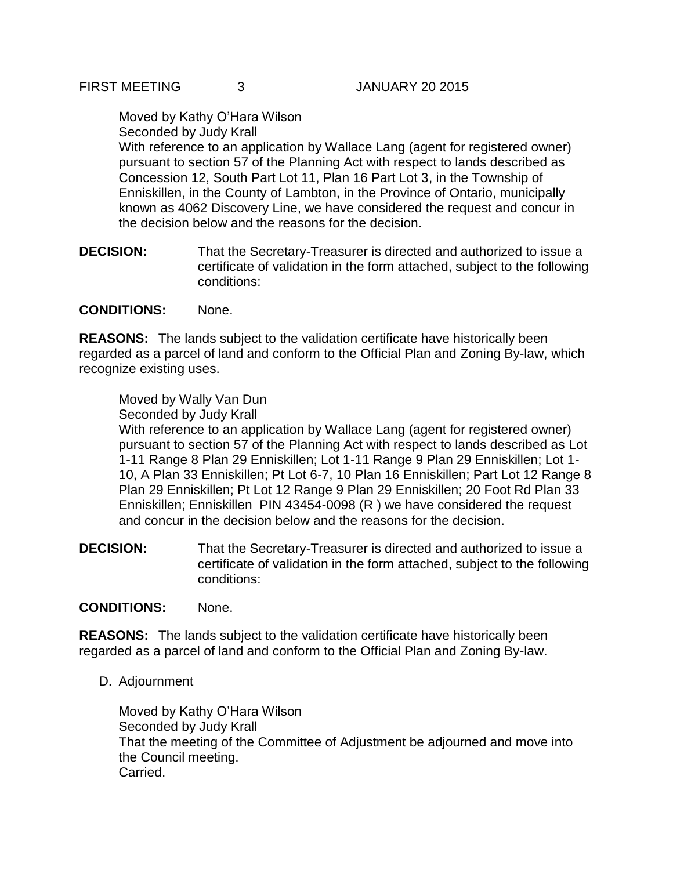#### Moved by Kathy O'Hara Wilson Seconded by Judy Krall

With reference to an application by Wallace Lang (agent for registered owner) pursuant to section 57 of the Planning Act with respect to lands described as Concession 12, South Part Lot 11, Plan 16 Part Lot 3, in the Township of Enniskillen, in the County of Lambton, in the Province of Ontario, municipally known as 4062 Discovery Line, we have considered the request and concur in the decision below and the reasons for the decision.

**DECISION:** That the Secretary-Treasurer is directed and authorized to issue a certificate of validation in the form attached, subject to the following conditions:

### **CONDITIONS:** None.

**REASONS:** The lands subject to the validation certificate have historically been regarded as a parcel of land and conform to the Official Plan and Zoning By-law, which recognize existing uses.

# Moved by Wally Van Dun

Seconded by Judy Krall

With reference to an application by Wallace Lang (agent for registered owner) pursuant to section 57 of the Planning Act with respect to lands described as Lot 1-11 Range 8 Plan 29 Enniskillen; Lot 1-11 Range 9 Plan 29 Enniskillen; Lot 1- 10, A Plan 33 Enniskillen; Pt Lot 6-7, 10 Plan 16 Enniskillen; Part Lot 12 Range 8 Plan 29 Enniskillen; Pt Lot 12 Range 9 Plan 29 Enniskillen; 20 Foot Rd Plan 33 Enniskillen; Enniskillen PIN 43454-0098 (R ) we have considered the request and concur in the decision below and the reasons for the decision.

**DECISION:** That the Secretary-Treasurer is directed and authorized to issue a certificate of validation in the form attached, subject to the following conditions:

### **CONDITIONS:** None.

**REASONS:** The lands subject to the validation certificate have historically been regarded as a parcel of land and conform to the Official Plan and Zoning By-law.

D. Adjournment

Moved by Kathy O'Hara Wilson Seconded by Judy Krall That the meeting of the Committee of Adjustment be adjourned and move into the Council meeting. Carried.